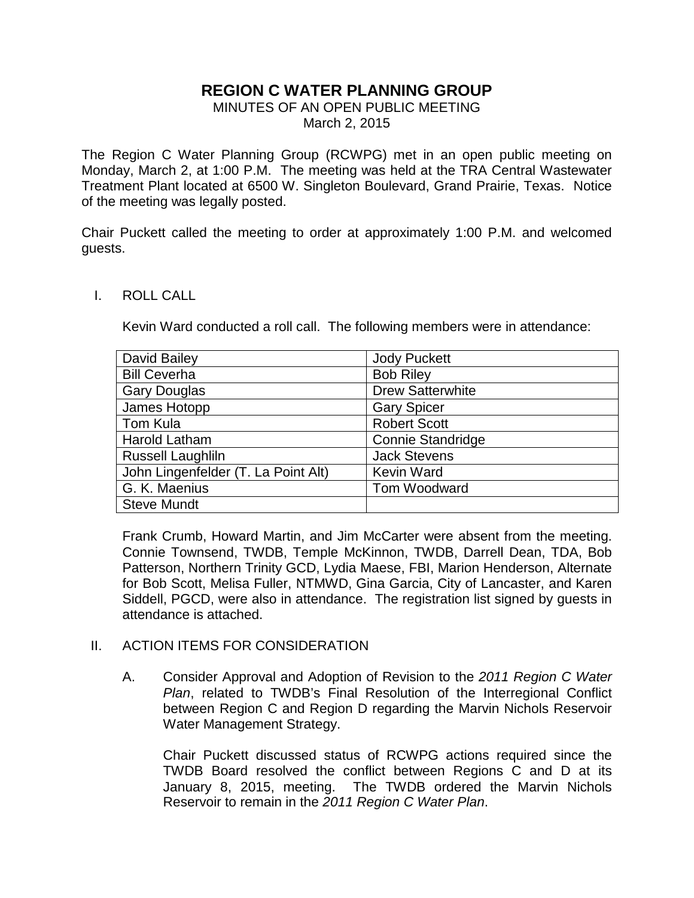## **REGION C WATER PLANNING GROUP**

# MINUTES OF AN OPEN PUBLIC MEETING

March 2, 2015

The Region C Water Planning Group (RCWPG) met in an open public meeting on Monday, March 2, at 1:00 P.M. The meeting was held at the TRA Central Wastewater Treatment Plant located at 6500 W. Singleton Boulevard, Grand Prairie, Texas. Notice of the meeting was legally posted.

Chair Puckett called the meeting to order at approximately 1:00 P.M. and welcomed guests.

#### I. ROLL CALL

Kevin Ward conducted a roll call. The following members were in attendance:

| David Bailey                        | <b>Jody Puckett</b>      |
|-------------------------------------|--------------------------|
| <b>Bill Ceverha</b>                 | <b>Bob Riley</b>         |
| <b>Gary Douglas</b>                 | <b>Drew Satterwhite</b>  |
| James Hotopp                        | <b>Gary Spicer</b>       |
| Tom Kula                            | <b>Robert Scott</b>      |
| <b>Harold Latham</b>                | <b>Connie Standridge</b> |
| <b>Russell Laughliln</b>            | <b>Jack Stevens</b>      |
| John Lingenfelder (T. La Point Alt) | <b>Kevin Ward</b>        |
| G. K. Maenius                       | Tom Woodward             |
| <b>Steve Mundt</b>                  |                          |

Frank Crumb, Howard Martin, and Jim McCarter were absent from the meeting. Connie Townsend, TWDB, Temple McKinnon, TWDB, Darrell Dean, TDA, Bob Patterson, Northern Trinity GCD, Lydia Maese, FBI, Marion Henderson, Alternate for Bob Scott, Melisa Fuller, NTMWD, Gina Garcia, City of Lancaster, and Karen Siddell, PGCD, were also in attendance. The registration list signed by guests in attendance is attached.

## II. ACTION ITEMS FOR CONSIDERATION

A. Consider Approval and Adoption of Revision to the *2011 Region C Water Plan*, related to TWDB's Final Resolution of the Interregional Conflict between Region C and Region D regarding the Marvin Nichols Reservoir Water Management Strategy.

Chair Puckett discussed status of RCWPG actions required since the TWDB Board resolved the conflict between Regions C and D at its January 8, 2015, meeting. The TWDB ordered the Marvin Nichols Reservoir to remain in the *2011 Region C Water Plan*.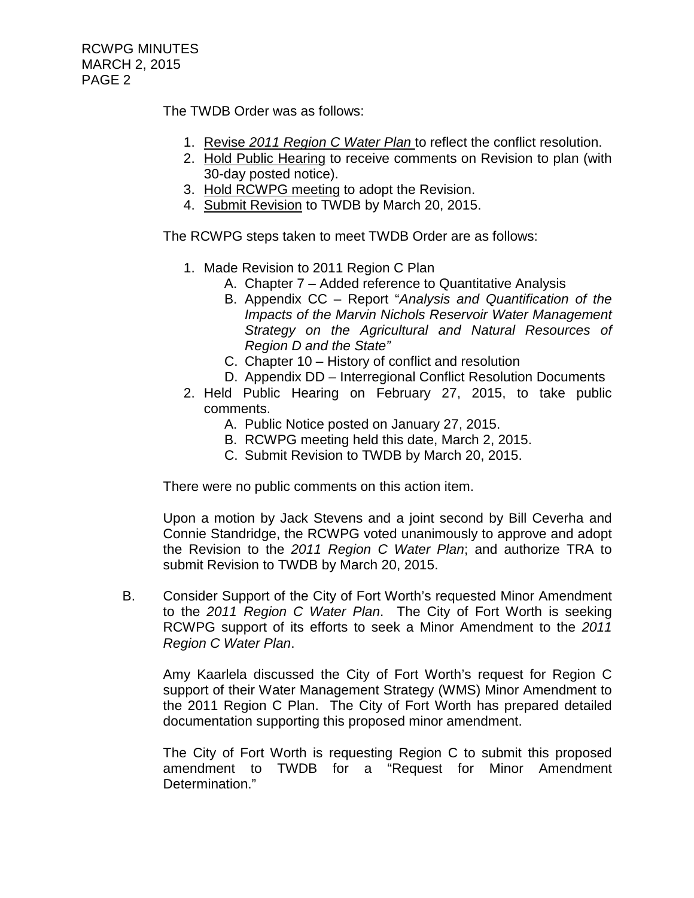RCWPG MINUTES MARCH 2, 2015 PAGE 2

The TWDB Order was as follows:

- 1. Revise *2011 Region C Water Plan* to reflect the conflict resolution.
- 2. Hold Public Hearing to receive comments on Revision to plan (with 30-day posted notice).
- 3. Hold RCWPG meeting to adopt the Revision.
- 4. Submit Revision to TWDB by March 20, 2015.

The RCWPG steps taken to meet TWDB Order are as follows:

- 1. Made Revision to 2011 Region C Plan
	- A. Chapter 7 Added reference to Quantitative Analysis
	- B. Appendix CC Report "*Analysis and Quantification of the Impacts of the Marvin Nichols Reservoir Water Management Strategy on the Agricultural and Natural Resources of Region D and the State"*
	- C. Chapter 10 History of conflict and resolution
	- D. Appendix DD Interregional Conflict Resolution Documents
- 2. Held Public Hearing on February 27, 2015, to take public comments.
	- A. Public Notice posted on January 27, 2015.
	- B. RCWPG meeting held this date, March 2, 2015.
	- C. Submit Revision to TWDB by March 20, 2015.

There were no public comments on this action item.

Upon a motion by Jack Stevens and a joint second by Bill Ceverha and Connie Standridge, the RCWPG voted unanimously to approve and adopt the Revision to the *2011 Region C Water Plan*; and authorize TRA to submit Revision to TWDB by March 20, 2015.

B. Consider Support of the City of Fort Worth's requested Minor Amendment to the *2011 Region C Water Plan*. The City of Fort Worth is seeking RCWPG support of its efforts to seek a Minor Amendment to the *2011 Region C Water Plan*.

Amy Kaarlela discussed the City of Fort Worth's request for Region C support of their Water Management Strategy (WMS) Minor Amendment to the 2011 Region C Plan. The City of Fort Worth has prepared detailed documentation supporting this proposed minor amendment.

The City of Fort Worth is requesting Region C to submit this proposed amendment to TWDB for a "Request for Minor Amendment Determination."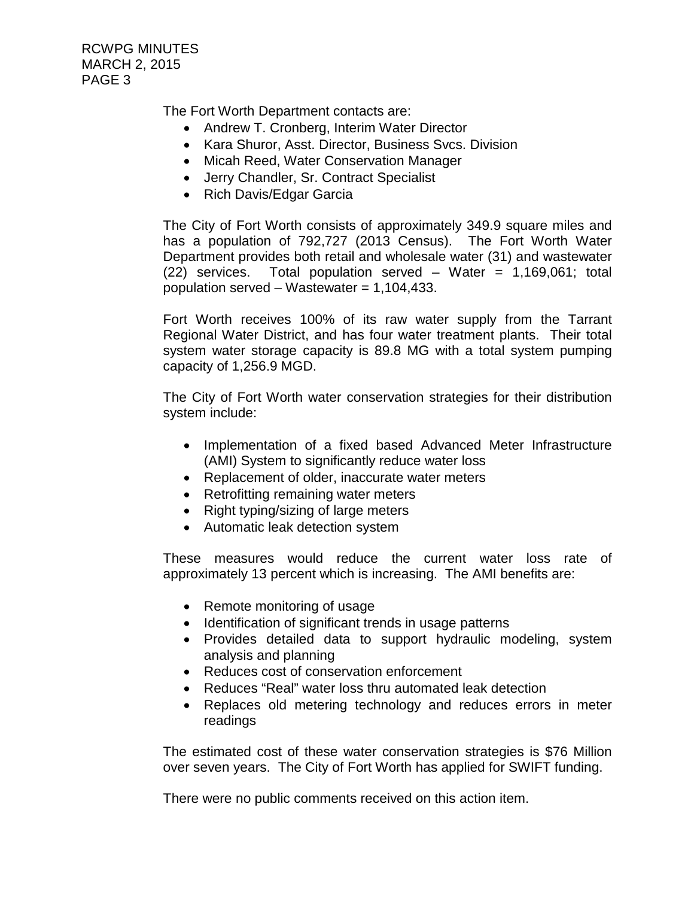RCWPG MINUTES MARCH 2, 2015 PAGE 3

The Fort Worth Department contacts are:

- Andrew T. Cronberg, Interim Water Director
- Kara Shuror, Asst. Director, Business Svcs. Division
- Micah Reed, Water Conservation Manager
- Jerry Chandler, Sr. Contract Specialist
- Rich Davis/Edgar Garcia

The City of Fort Worth consists of approximately 349.9 square miles and has a population of 792,727 (2013 Census). The Fort Worth Water Department provides both retail and wholesale water (31) and wastewater (22) services. Total population served – Water = 1,169,061; total population served – Wastewater =  $1,104,433$ .

Fort Worth receives 100% of its raw water supply from the Tarrant Regional Water District, and has four water treatment plants. Their total system water storage capacity is 89.8 MG with a total system pumping capacity of 1,256.9 MGD.

The City of Fort Worth water conservation strategies for their distribution system include:

- Implementation of a fixed based Advanced Meter Infrastructure (AMI) System to significantly reduce water loss
- Replacement of older, inaccurate water meters
- Retrofitting remaining water meters
- Right typing/sizing of large meters
- Automatic leak detection system

These measures would reduce the current water loss rate of approximately 13 percent which is increasing. The AMI benefits are:

- Remote monitoring of usage
- Identification of significant trends in usage patterns
- Provides detailed data to support hydraulic modeling, system analysis and planning
- Reduces cost of conservation enforcement
- Reduces "Real" water loss thru automated leak detection
- Replaces old metering technology and reduces errors in meter readings

The estimated cost of these water conservation strategies is \$76 Million over seven years. The City of Fort Worth has applied for SWIFT funding.

There were no public comments received on this action item.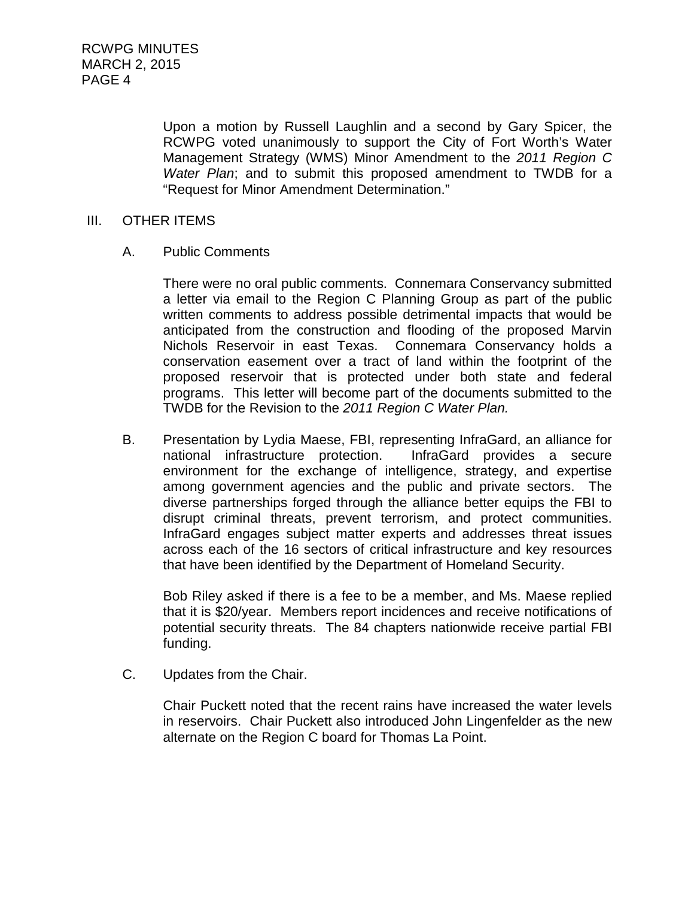Upon a motion by Russell Laughlin and a second by Gary Spicer, the RCWPG voted unanimously to support the City of Fort Worth's Water Management Strategy (WMS) Minor Amendment to the *2011 Region C Water Plan*; and to submit this proposed amendment to TWDB for a "Request for Minor Amendment Determination."

#### III. OTHER ITEMS

#### A. Public Comments

There were no oral public comments. Connemara Conservancy submitted a letter via email to the Region C Planning Group as part of the public written comments to address possible detrimental impacts that would be anticipated from the construction and flooding of the proposed Marvin Nichols Reservoir in east Texas. Connemara Conservancy holds a conservation easement over a tract of land within the footprint of the proposed reservoir that is protected under both state and federal programs. This letter will become part of the documents submitted to the TWDB for the Revision to the *2011 Region C Water Plan.*

B. Presentation by Lydia Maese, FBI, representing InfraGard, an alliance for national infrastructure protection. InfraGard provides a secure environment for the exchange of intelligence, strategy, and expertise among government agencies and the public and private sectors. The diverse partnerships forged through the alliance better equips the FBI to disrupt criminal threats, prevent terrorism, and protect communities. InfraGard engages subject matter experts and addresses threat issues across each of the 16 sectors of critical infrastructure and key resources that have been identified by the Department of Homeland Security.

Bob Riley asked if there is a fee to be a member, and Ms. Maese replied that it is \$20/year. Members report incidences and receive notifications of potential security threats. The 84 chapters nationwide receive partial FBI funding.

C. Updates from the Chair.

Chair Puckett noted that the recent rains have increased the water levels in reservoirs. Chair Puckett also introduced John Lingenfelder as the new alternate on the Region C board for Thomas La Point.